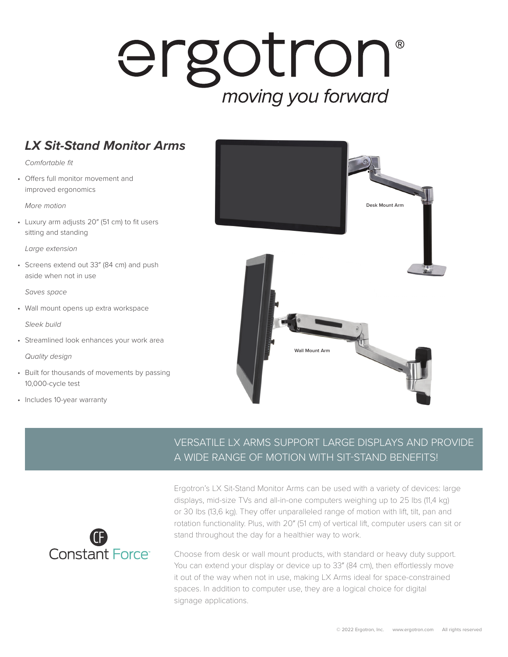## ergotron® moving you forward

## *LX Sit-Stand Monitor Arms*

*Comfortable fit*

• Offers full monitor movement and improved ergonomics

*More motion*

• Luxury arm adjusts 20″ (51 cm) to fit users sitting and standing

*Large extension*

• Screens extend out 33″ (84 cm) and push aside when not in use

*Saves space*

• Wall mount opens up extra workspace

*Sleek build*

• Streamlined look enhances your work area

*Quality design*

- Built for thousands of movements by passing 10,000-cycle test
- Includes 10-year warranty



## VERSATILE LX ARMS SUPPORT LARGE DISPLAYS AND PROVIDE A WIDE RANGE OF MOTION WITH SIT-STAND BENEFITS!



Ergotron's LX Sit-Stand Monitor Arms can be used with a variety of devices: large displays, mid-size TVs and all-in-one computers weighing up to 25 lbs (11,4 kg) or 30 lbs (13,6 kg). They offer unparalleled range of motion with lift, tilt, pan and rotation functionality. Plus, with 20″ (51 cm) of vertical lift, computer users can sit or stand throughout the day for a healthier way to work.

Choose from desk or wall mount products, with standard or heavy duty support. You can extend your display or device up to 33″ (84 cm), then effortlessly move it out of the way when not in use, making LX Arms ideal for space-constrained spaces. In addition to computer use, they are a logical choice for digital signage applications.